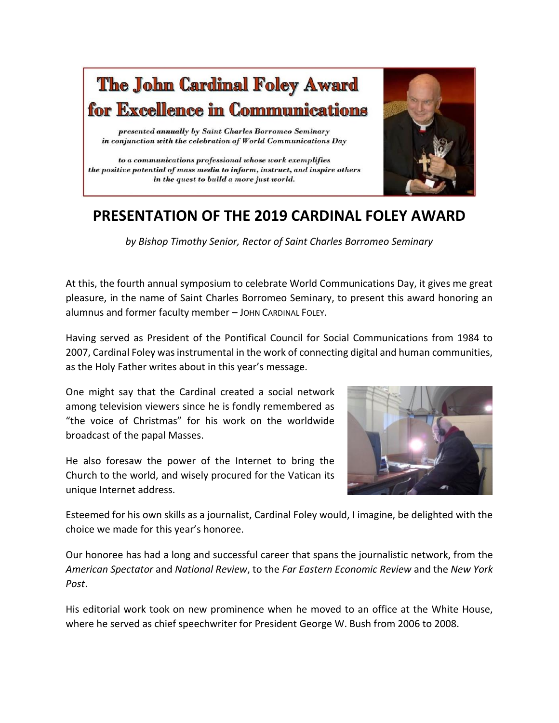

## **PRESENTATION OF THE 2019 CARDINAL FOLEY AWARD**

*by Bishop Timothy Senior, Rector of Saint Charles Borromeo Seminary*

At this, the fourth annual symposium to celebrate World Communications Day, it gives me great pleasure, in the name of Saint Charles Borromeo Seminary, to present this award honoring an alumnus and former faculty member - JOHN CARDINAL FOLEY.

Having served as President of the Pontifical Council for Social Communications from 1984 to 2007, Cardinal Foley was instrumental in the work of connecting digital and human communities, as the Holy Father writes about in this year's message.

One might say that the Cardinal created a social network among television viewers since he is fondly remembered as "the voice of Christmas" for his work on the worldwide broadcast of the papal Masses.

He also foresaw the power of the Internet to bring the Church to the world, and wisely procured for the Vatican its unique Internet address.



Esteemed for his own skills as a journalist, Cardinal Foley would, I imagine, be delighted with the choice we made for this year's honoree.

Our honoree has had a long and successful career that spans the journalistic network, from the *American Spectator* and *National Review*, to the *Far Eastern Economic Review* and the *New York Post*.

His editorial work took on new prominence when he moved to an office at the White House, where he served as chief speechwriter for President George W. Bush from 2006 to 2008.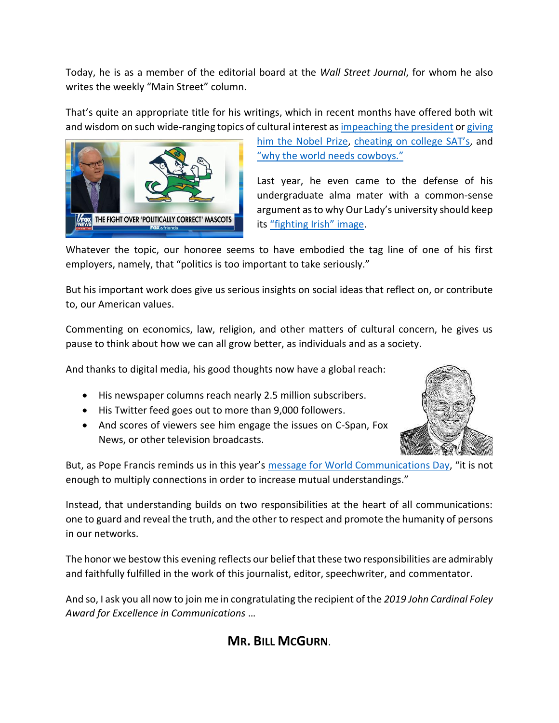Today, he is as a member of the editorial board at the *Wall Street Journal*, for whom he also writes the weekly "Main Street" column.

That's quite an appropriate title for his writings, which in recent months have offered both wit and wisdom on such wide-ranging topics of cultural interest a[s impeaching the president](https://www.wsj.com/articles/go-ahead-impeach-trump-11557788521) o[r giving](https://www.wsj.com/articles/a-nobel-prize-for-trump-11551138069?mod=searchresults&page=1&pos=13) 



[him the Nobel Prize,](https://www.wsj.com/articles/a-nobel-prize-for-trump-11551138069?mod=searchresults&page=1&pos=13) chea[ting on college SAT's](https://www.wsj.com/articles/cheating-on-the-sats-11554761226), and ["why the world needs cowboys."](https://www.wsj.com/video/series/journal-editorial-report/opinion-cowboy-up-why-the-world-needs-cowboys/B6C74B17-08E6-4D46-B53C-18D7821A0650?mod=searchresults&page=1&pos=1)

Last year, he even came to the defense of his undergraduate alma mater with a common-sense argument as to why Our Lady's university should keep its ["fighting Irish" image](https://video.foxnews.com/v/5728030951001/#sp=show-clips).

Whatever the topic, our honoree seems to have embodied the tag line of one of his first employers, namely, that "politics is too important to take seriously."

But his important work does give us serious insights on social ideas that reflect on, or contribute to, our American values.

Commenting on economics, law, religion, and other matters of cultural concern, he gives us pause to think about how we can all grow better, as individuals and as a society.

And thanks to digital media, his good thoughts now have a global reach:

- His newspaper columns reach nearly 2.5 million subscribers.
- His Twitter feed goes out to more than 9,000 followers.
- And scores of viewers see him engage the issues on C-Span, Fox News, or other television broadcasts.



But, as Pope Francis reminds us in this year's [message for World Communications Day](http://w2.vatican.va/content/francesco/en/messages/communications/documents/papa-francesco_20190124_messaggio-comunicazioni-sociali.html), "it is not enough to multiply connections in order to increase mutual understandings."

Instead, that understanding builds on two responsibilities at the heart of all communications: one to guard and reveal the truth, and the other to respect and promote the humanity of persons in our networks.

The honor we bestow this evening reflects our belief that these two responsibilities are admirably and faithfully fulfilled in the work of this journalist, editor, speechwriter, and commentator.

And so, I ask you all now to join me in congratulating the recipient of the *2019 John Cardinal Foley Award for Excellence in Communications* …